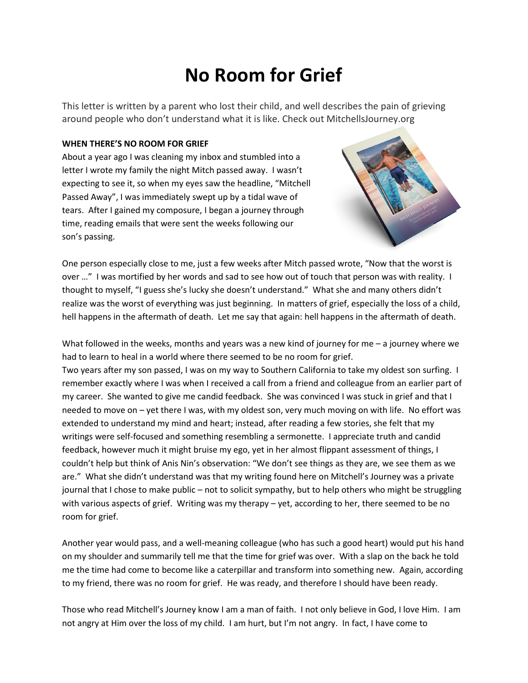## **No Room for Grief**

This letter is written by a parent who lost their child, and well describes the pain of grieving around people who don't understand what it is like. Check out MitchellsJourney.org

## **WHEN THERE'S NO ROOM FOR GRIEF**

About a year ago I was cleaning my inbox and stumbled into a letter I wrote my family the night Mitch passed away. I wasn't expecting to see it, so when my eyes saw the headline, "Mitchell Passed Away", I was immediately swept up by a tidal wave of tears. After I gained my composure, I began a journey through time, reading emails that were sent the weeks following our son's passing.



One person especially close to me, just a few weeks after Mitch passed wrote, "Now that the worst is over …" I was mortified by her words and sad to see how out of touch that person was with reality. I thought to myself, "I guess she's lucky she doesn't understand." What she and many others didn't realize was the worst of everything was just beginning. In matters of grief, especially the loss of a child, hell happens in the aftermath of death. Let me say that again: hell happens in the aftermath of death.

What followed in the weeks, months and years was a new kind of journey for me  $-$  a journey where we had to learn to heal in a world where there seemed to be no room for grief. Two years after my son passed, I was on my way to Southern California to take my oldest son surfing. I remember exactly where I was when I received a call from a friend and colleague from an earlier part of my career. She wanted to give me candid feedback. She was convinced I was stuck in grief and that I needed to move on – yet there I was, with my oldest son, very much moving on with life. No effort was extended to understand my mind and heart; instead, after reading a few stories, she felt that my writings were self-focused and something resembling a sermonette. I appreciate truth and candid feedback, however much it might bruise my ego, yet in her almost flippant assessment of things, I couldn't help but think of Anis Nin's observation: "We don't see things as they are, we see them as we are." What she didn't understand was that my writing found here on Mitchell's Journey was a private journal that I chose to make public – not to solicit sympathy, but to help others who might be struggling with various aspects of grief. Writing was my therapy – yet, according to her, there seemed to be no room for grief.

Another year would pass, and a well-meaning colleague (who has such a good heart) would put his hand on my shoulder and summarily tell me that the time for grief was over. With a slap on the back he told me the time had come to become like a caterpillar and transform into something new. Again, according to my friend, there was no room for grief. He was ready, and therefore I should have been ready.

Those who read Mitchell's Journey know I am a man of faith. I not only believe in God, I love Him. I am not angry at Him over the loss of my child. I am hurt, but I'm not angry. In fact, I have come to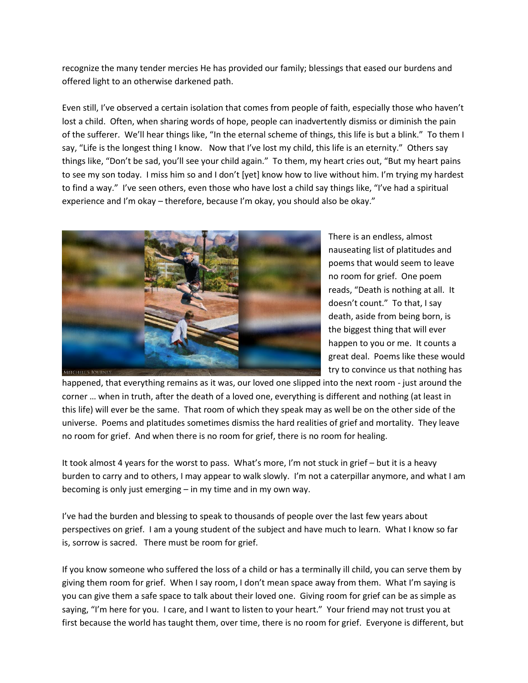recognize the many tender mercies He has provided our family; blessings that eased our burdens and offered light to an otherwise darkened path.

Even still, I've observed a certain isolation that comes from people of faith, especially those who haven't lost a child. Often, when sharing words of hope, people can inadvertently dismiss or diminish the pain of the sufferer. We'll hear things like, "In the eternal scheme of things, this life is but a blink." To them I say, "Life is the longest thing I know. Now that I've lost my child, this life is an eternity." Others say things like, "Don't be sad, you'll see your child again." To them, my heart cries out, "But my heart pains to see my son today. I miss him so and I don't [yet] know how to live without him. I'm trying my hardest to find a way." I've seen others, even those who have lost a child say things like, "I've had a spiritual experience and I'm okay – therefore, because I'm okay, you should also be okay."



There is an endless, almost nauseating list of platitudes and poems that would seem to leave no room for grief. One poem reads, "Death is nothing at all. It doesn't count." To that, I say death, aside from being born, is the biggest thing that will ever happen to you or me. It counts a great deal. Poems like these would try to convince us that nothing has

happened, that everything remains as it was, our loved one slipped into the next room - just around the corner … when in truth, after the death of a loved one, everything is different and nothing (at least in this life) will ever be the same. That room of which they speak may as well be on the other side of the universe. Poems and platitudes sometimes dismiss the hard realities of grief and mortality. They leave no room for grief. And when there is no room for grief, there is no room for healing.

It took almost 4 years for the worst to pass. What's more, I'm not stuck in grief – but it is a heavy burden to carry and to others, I may appear to walk slowly. I'm not a caterpillar anymore, and what I am becoming is only just emerging – in my time and in my own way.

I've had the burden and blessing to speak to thousands of people over the last few years about perspectives on grief. I am a young student of the subject and have much to learn. What I know so far is, sorrow is sacred. There must be room for grief.

If you know someone who suffered the loss of a child or has a terminally ill child, you can serve them by giving them room for grief. When I say room, I don't mean space away from them. What I'm saying is you can give them a safe space to talk about their loved one. Giving room for grief can be as simple as saying, "I'm here for you. I care, and I want to listen to your heart." Your friend may not trust you at first because the world has taught them, over time, there is no room for grief. Everyone is different, but